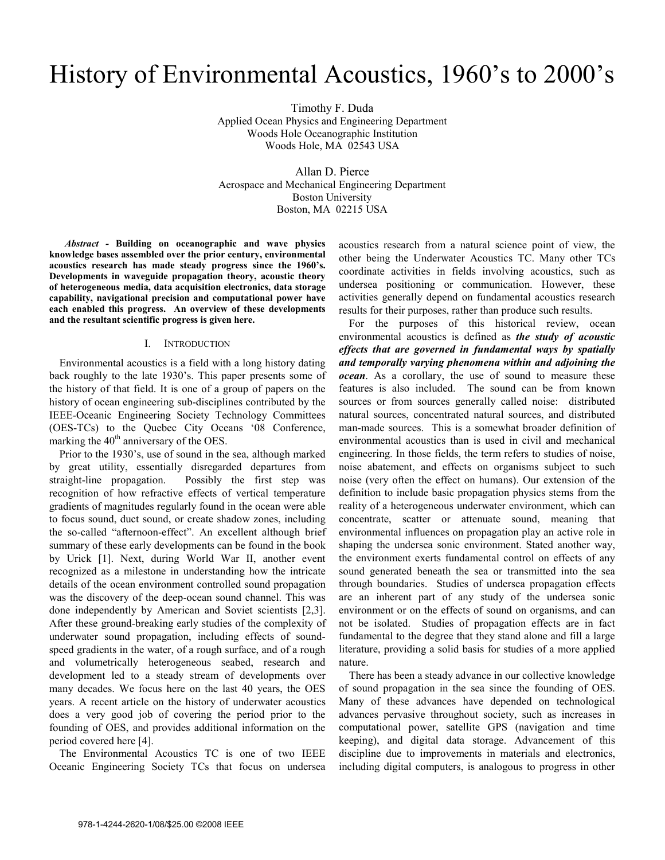# History of Environmental Acoustics, 1960's to 2000's

Timothy F. Duda Applied Ocean Physics and Engineering Department Woods Hole Oceanographic Institution Woods Hole, MA 02543 USA

Allan D. Pierce Aerospace and Mechanical Engineering Department Boston University Boston, MA 02215 USA

*Abstract -* **Building on oceanographic and wave physics knowledge bases assembled over the prior century, environmental acoustics research has made steady progress since the 1960's. Developments in waveguide propagation theory, acoustic theory of heterogeneous media, data acquisition electronics, data storage capability, navigational precision and computational power have each enabled this progress. An overview of these developments and the resultant scientific progress is given here.** 

#### I. INTRODUCTION

Environmental acoustics is a field with a long history dating back roughly to the late 1930's. This paper presents some of the history of that field. It is one of a group of papers on the history of ocean engineering sub-disciplines contributed by the IEEE-Oceanic Engineering Society Technology Committees (OES-TCs) to the Quebec City Oceans '08 Conference, marking the  $40<sup>th</sup>$  anniversary of the OES.

Prior to the 1930's, use of sound in the sea, although marked by great utility, essentially disregarded departures from straight-line propagation. Possibly the first step was recognition of how refractive effects of vertical temperature gradients of magnitudes regularly found in the ocean were able to focus sound, duct sound, or create shadow zones, including the so-called "afternoon-effect". An excellent although brief summary of these early developments can be found in the book by Urick [1]. Next, during World War II, another event recognized as a milestone in understanding how the intricate details of the ocean environment controlled sound propagation was the discovery of the deep-ocean sound channel. This was done independently by American and Soviet scientists [2,3]. After these ground-breaking early studies of the complexity of underwater sound propagation, including effects of soundspeed gradients in the water, of a rough surface, and of a rough and volumetrically heterogeneous seabed, research and development led to a steady stream of developments over many decades. We focus here on the last 40 years, the OES years. A recent article on the history of underwater acoustics does a very good job of covering the period prior to the founding of OES, and provides additional information on the period covered here [4].

The Environmental Acoustics TC is one of two IEEE Oceanic Engineering Society TCs that focus on undersea acoustics research from a natural science point of view, the other being the Underwater Acoustics TC. Many other TCs coordinate activities in fields involving acoustics, such as undersea positioning or communication. However, these activities generally depend on fundamental acoustics research results for their purposes, rather than produce such results.

For the purposes of this historical review, ocean environmental acoustics is defined as *the study of acoustic effects that are governed in fundamental ways by spatially and temporally varying phenomena within and adjoining the ocean*. As a corollary, the use of sound to measure these features is also included. The sound can be from known sources or from sources generally called noise: distributed natural sources, concentrated natural sources, and distributed man-made sources. This is a somewhat broader definition of environmental acoustics than is used in civil and mechanical engineering. In those fields, the term refers to studies of noise, noise abatement, and effects on organisms subject to such noise (very often the effect on humans). Our extension of the definition to include basic propagation physics stems from the reality of a heterogeneous underwater environment, which can concentrate, scatter or attenuate sound, meaning that environmental influences on propagation play an active role in shaping the undersea sonic environment. Stated another way, the environment exerts fundamental control on effects of any sound generated beneath the sea or transmitted into the sea through boundaries. Studies of undersea propagation effects are an inherent part of any study of the undersea sonic environment or on the effects of sound on organisms, and can not be isolated. Studies of propagation effects are in fact fundamental to the degree that they stand alone and fill a large literature, providing a solid basis for studies of a more applied nature.

There has been a steady advance in our collective knowledge of sound propagation in the sea since the founding of OES. Many of these advances have depended on technological advances pervasive throughout society, such as increases in computational power, satellite GPS (navigation and time keeping), and digital data storage. Advancement of this discipline due to improvements in materials and electronics, including digital computers, is analogous to progress in other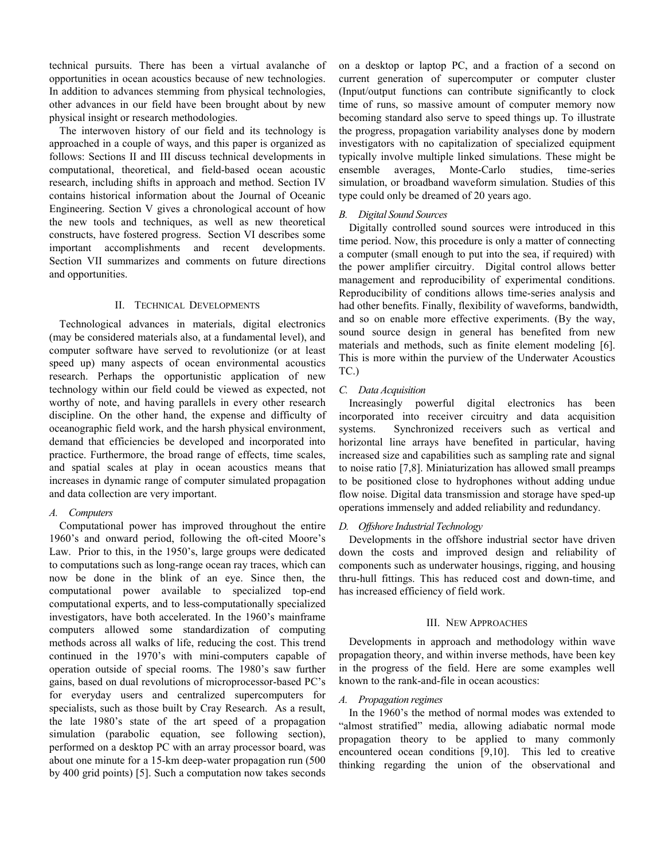technical pursuits. There has been a virtual avalanche of opportunities in ocean acoustics because of new technologies. In addition to advances stemming from physical technologies, other advances in our field have been brought about by new physical insight or research methodologies.

The interwoven history of our field and its technology is approached in a couple of ways, and this paper is organized as follows: Sections II and III discuss technical developments in computational, theoretical, and field-based ocean acoustic research, including shifts in approach and method. Section IV contains historical information about the Journal of Oceanic Engineering. Section V gives a chronological account of how the new tools and techniques, as well as new theoretical constructs, have fostered progress. Section VI describes some important accomplishments and recent developments. Section VII summarizes and comments on future directions and opportunities.

## II. TECHNICAL DEVELOPMENTS

Technological advances in materials, digital electronics (may be considered materials also, at a fundamental level), and computer software have served to revolutionize (or at least speed up) many aspects of ocean environmental acoustics research. Perhaps the opportunistic application of new technology within our field could be viewed as expected, not worthy of note, and having parallels in every other research discipline. On the other hand, the expense and difficulty of oceanographic field work, and the harsh physical environment, demand that efficiencies be developed and incorporated into practice. Furthermore, the broad range of effects, time scales, and spatial scales at play in ocean acoustics means that increases in dynamic range of computer simulated propagation and data collection are very important.

## *A. Computers*

Computational power has improved throughout the entire 1960's and onward period, following the oft-cited Moore's Law. Prior to this, in the 1950's, large groups were dedicated to computations such as long-range ocean ray traces, which can now be done in the blink of an eye. Since then, the computational power available to specialized top-end computational experts, and to less-computationally specialized investigators, have both accelerated. In the 1960's mainframe computers allowed some standardization of computing methods across all walks of life, reducing the cost. This trend continued in the 1970's with mini-computers capable of operation outside of special rooms. The 1980's saw further gains, based on dual revolutions of microprocessor-based PC's for everyday users and centralized supercomputers for specialists, such as those built by Cray Research. As a result, the late 1980's state of the art speed of a propagation simulation (parabolic equation, see following section), performed on a desktop PC with an array processor board, was about one minute for a 15-km deep-water propagation run (500 by 400 grid points) [5]. Such a computation now takes seconds

on a desktop or laptop PC, and a fraction of a second on current generation of supercomputer or computer cluster (Input/output functions can contribute significantly to clock time of runs, so massive amount of computer memory now becoming standard also serve to speed things up. To illustrate the progress, propagation variability analyses done by modern investigators with no capitalization of specialized equipment typically involve multiple linked simulations. These might be ensemble averages, Monte-Carlo studies, time-series simulation, or broadband waveform simulation. Studies of this type could only be dreamed of 20 years ago.

## *B. Digital Sound Sources*

Digitally controlled sound sources were introduced in this time period. Now, this procedure is only a matter of connecting a computer (small enough to put into the sea, if required) with the power amplifier circuitry. Digital control allows better management and reproducibility of experimental conditions. Reproducibility of conditions allows time-series analysis and had other benefits. Finally, flexibility of waveforms, bandwidth, and so on enable more effective experiments. (By the way, sound source design in general has benefited from new materials and methods, such as finite element modeling [6]. This is more within the purview of the Underwater Acoustics TC.)

## *C. Data Acquisition*

Increasingly powerful digital electronics has been incorporated into receiver circuitry and data acquisition systems. Synchronized receivers such as vertical and horizontal line arrays have benefited in particular, having increased size and capabilities such as sampling rate and signal to noise ratio [7,8]. Miniaturization has allowed small preamps to be positioned close to hydrophones without adding undue flow noise. Digital data transmission and storage have sped-up operations immensely and added reliability and redundancy.

#### *D. Offshore Industrial Technology*

Developments in the offshore industrial sector have driven down the costs and improved design and reliability of components such as underwater housings, rigging, and housing thru-hull fittings. This has reduced cost and down-time, and has increased efficiency of field work.

#### III. NEW APPROACHES

Developments in approach and methodology within wave propagation theory, and within inverse methods, have been key in the progress of the field. Here are some examples well known to the rank-and-file in ocean acoustics:

#### *A. Propagation regimes*

In the 1960's the method of normal modes was extended to "almost stratified" media, allowing adiabatic normal mode propagation theory to be applied to many commonly encountered ocean conditions [9,10]. This led to creative thinking regarding the union of the observational and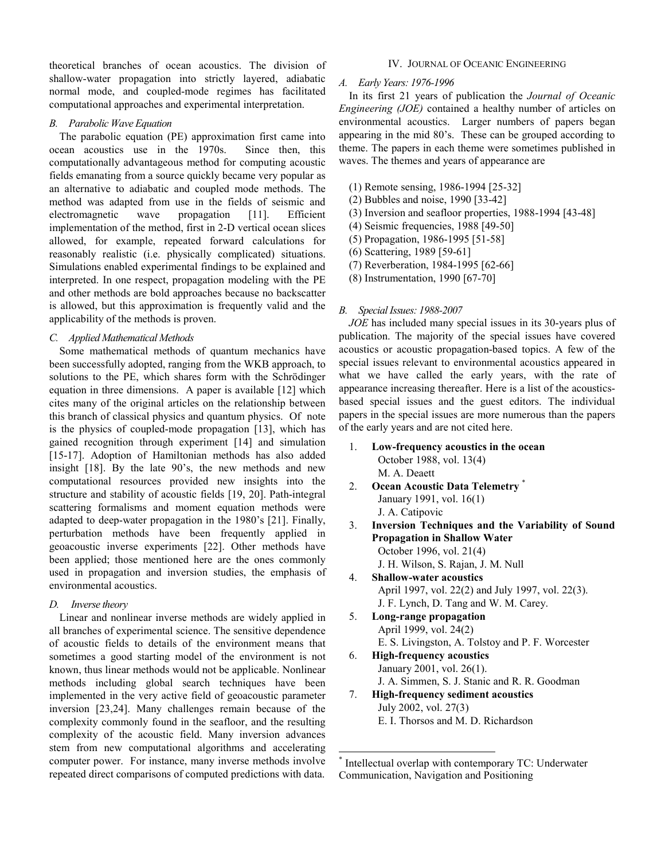theoretical branches of ocean acoustics. The division of shallow-water propagation into strictly layered, adiabatic normal mode, and coupled-mode regimes has facilitated computational approaches and experimental interpretation.

## *B. Parabolic Wave Equation*

The parabolic equation (PE) approximation first came into ocean acoustics use in the 1970s. Since then, this computationally advantageous method for computing acoustic fields emanating from a source quickly became very popular as an alternative to adiabatic and coupled mode methods. The method was adapted from use in the fields of seismic and electromagnetic wave propagation [11]. Efficient implementation of the method, first in 2-D vertical ocean slices allowed, for example, repeated forward calculations for reasonably realistic (i.e. physically complicated) situations. Simulations enabled experimental findings to be explained and interpreted. In one respect, propagation modeling with the PE and other methods are bold approaches because no backscatter is allowed, but this approximation is frequently valid and the applicability of the methods is proven.

## *C. Applied Mathematical Methods*

Some mathematical methods of quantum mechanics have been successfully adopted, ranging from the WKB approach, to solutions to the PE, which shares form with the Schrödinger equation in three dimensions. A paper is available [12] which cites many of the original articles on the relationship between this branch of classical physics and quantum physics. Of note is the physics of coupled-mode propagation [13], which has gained recognition through experiment [14] and simulation [15-17]. Adoption of Hamiltonian methods has also added insight [18]. By the late 90's, the new methods and new computational resources provided new insights into the structure and stability of acoustic fields [19, 20]. Path-integral scattering formalisms and moment equation methods were adapted to deep-water propagation in the 1980's [21]. Finally, perturbation methods have been frequently applied in geoacoustic inverse experiments [22]. Other methods have been applied; those mentioned here are the ones commonly used in propagation and inversion studies, the emphasis of environmental acoustics.

## *D. Inverse theory*

Linear and nonlinear inverse methods are widely applied in all branches of experimental science. The sensitive dependence of acoustic fields to details of the environment means that sometimes a good starting model of the environment is not known, thus linear methods would not be applicable. Nonlinear methods including global search techniques have been implemented in the very active field of geoacoustic parameter inversion [23,24]. Many challenges remain because of the complexity commonly found in the seafloor, and the resulting complexity of the acoustic field. Many inversion advances stem from new computational algorithms and accelerating computer power. For instance, many inverse methods involve repeated direct comparisons of computed predictions with data.

## IV. JOURNAL OF OCEANIC ENGINEERING

#### *A. Early Years: 1976-1996*

In its first 21 years of publication the *Journal of Oceanic Engineering (JOE)* contained a healthy number of articles on environmental acoustics. Larger numbers of papers began appearing in the mid 80's. These can be grouped according to theme. The papers in each theme were sometimes published in waves. The themes and years of appearance are

- (1) Remote sensing, 1986-1994 [25-32]
- (2) Bubbles and noise, 1990 [33-42]
- (3) Inversion and seafloor properties, 1988-1994 [43-48]
- (4) Seismic frequencies, 1988 [49-50]
- (5) Propagation, 1986-1995 [51-58]
- (6) Scattering, 1989 [59-61]
- (7) Reverberation, 1984-1995 [62-66]
- (8) Instrumentation, 1990 [67-70]

# *B. Special Issues: 1988-2007*

*JOE* has included many special issues in its 30-years plus of publication. The majority of the special issues have covered acoustics or acoustic propagation-based topics. A few of the special issues relevant to environmental acoustics appeared in what we have called the early years, with the rate of appearance increasing thereafter. Here is a list of the acousticsbased special issues and the guest editors. The individual papers in the special issues are more numerous than the papers of the early years and are not cited here.

- 1. **Low-frequency acoustics in the ocean** October 1988, vol. 13(4) M. A. Deaett
- 2. **Ocean Acoustic Data Telemetry** \* January 1991, vol. 16(1) J. A. Catipovic
- 3. **Inversion Techniques and the Variability of Sound Propagation in Shallow Water** October 1996, vol. 21(4) J. H. Wilson, S. Rajan, J. M. Null
- 4. **Shallow-water acoustics**  April 1997, vol. 22(2) and July 1997, vol. 22(3). J. F. Lynch, D. Tang and W. M. Carey.
- 5. **Long-range propagation**  April 1999, vol. 24(2) E. S. Livingston, A. Tolstoy and P. F. Worcester 6. **High-frequency acoustics**
- January 2001, vol. 26(1). J. A. Simmen, S. J. Stanic and R. R. Goodman
- 7. **High-frequency sediment acoustics** July 2002, vol. 27(3) E. I. Thorsos and M. D. Richardson

 $\overline{a}$ 

<sup>\*</sup> Intellectual overlap with contemporary TC: Underwater Communication, Navigation and Positioning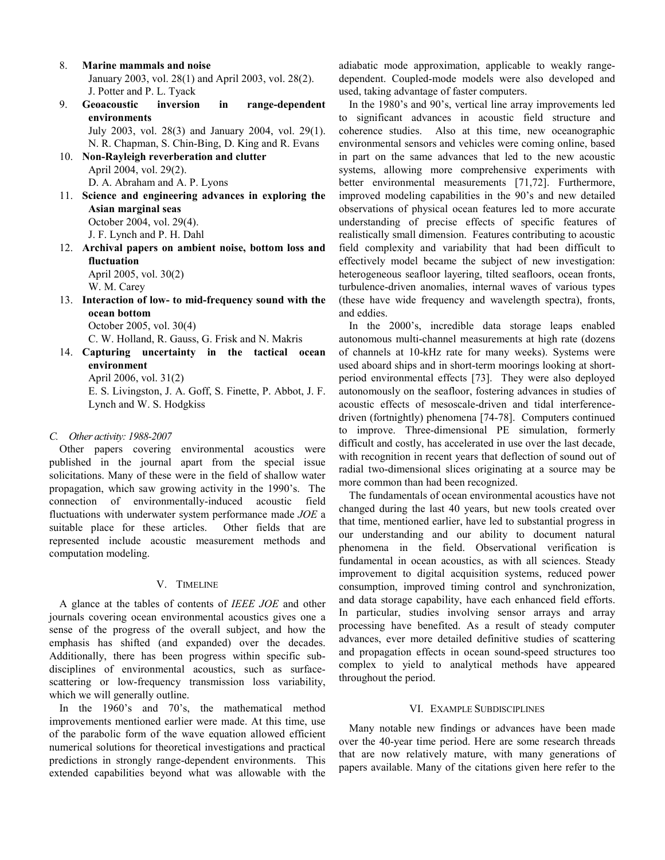- 8. **Marine mammals and noise** January 2003, vol. 28(1) and April 2003, vol. 28(2). J. Potter and P. L. Tyack
- 9. **Geoacoustic inversion in range-dependent environments**  July 2003, vol. 28(3) and January 2004, vol. 29(1). N. R. Chapman, S. Chin-Bing, D. King and R. Evans
- 10. **Non-Rayleigh reverberation and clutter** April 2004, vol. 29(2). D. A. Abraham and A. P. Lyons
- 11. **Science and engineering advances in exploring the Asian marginal seas** October 2004, vol. 29(4). J. F. Lynch and P. H. Dahl
- 12. **Archival papers on ambient noise, bottom loss and fluctuation** April 2005, vol. 30(2) W. M. Carey
- 13. **Interaction of low- to mid-frequency sound with the ocean bottom** October 2005, vol. 30(4)

C. W. Holland, R. Gauss, G. Frisk and N. Makris

14. **Capturing uncertainty in the tactical ocean environment** April 2006, vol. 31(2) E. S. Livingston, J. A. Goff, S. Finette, P. Abbot, J. F. Lynch and W. S. Hodgkiss

# *C. Other activity: 1988-2007*

Other papers covering environmental acoustics were published in the journal apart from the special issue solicitations. Many of these were in the field of shallow water propagation, which saw growing activity in the 1990's. The connection of environmentally-induced acoustic field fluctuations with underwater system performance made *JOE* a suitable place for these articles. Other fields that are represented include acoustic measurement methods and computation modeling.

## V. TIMELINE

A glance at the tables of contents of *IEEE JOE* and other journals covering ocean environmental acoustics gives one a sense of the progress of the overall subject, and how the emphasis has shifted (and expanded) over the decades. Additionally, there has been progress within specific subdisciplines of environmental acoustics, such as surfacescattering or low-frequency transmission loss variability, which we will generally outline.

In the 1960's and 70's, the mathematical method improvements mentioned earlier were made. At this time, use of the parabolic form of the wave equation allowed efficient numerical solutions for theoretical investigations and practical predictions in strongly range-dependent environments. This extended capabilities beyond what was allowable with the

adiabatic mode approximation, applicable to weakly rangedependent. Coupled-mode models were also developed and used, taking advantage of faster computers.

In the 1980's and 90's, vertical line array improvements led to significant advances in acoustic field structure and coherence studies. Also at this time, new oceanographic environmental sensors and vehicles were coming online, based in part on the same advances that led to the new acoustic systems, allowing more comprehensive experiments with better environmental measurements [71,72]. Furthermore, improved modeling capabilities in the 90's and new detailed observations of physical ocean features led to more accurate understanding of precise effects of specific features of realistically small dimension. Features contributing to acoustic field complexity and variability that had been difficult to effectively model became the subject of new investigation: heterogeneous seafloor layering, tilted seafloors, ocean fronts, turbulence-driven anomalies, internal waves of various types (these have wide frequency and wavelength spectra), fronts, and eddies.

In the 2000's, incredible data storage leaps enabled autonomous multi-channel measurements at high rate (dozens of channels at 10-kHz rate for many weeks). Systems were used aboard ships and in short-term moorings looking at shortperiod environmental effects [73]. They were also deployed autonomously on the seafloor, fostering advances in studies of acoustic effects of mesoscale-driven and tidal interferencedriven (fortnightly) phenomena [74-78]. Computers continued to improve. Three-dimensional PE simulation, formerly difficult and costly, has accelerated in use over the last decade, with recognition in recent years that deflection of sound out of radial two-dimensional slices originating at a source may be more common than had been recognized.

The fundamentals of ocean environmental acoustics have not changed during the last 40 years, but new tools created over that time, mentioned earlier, have led to substantial progress in our understanding and our ability to document natural phenomena in the field. Observational verification is fundamental in ocean acoustics, as with all sciences. Steady improvement to digital acquisition systems, reduced power consumption, improved timing control and synchronization, and data storage capability, have each enhanced field efforts. In particular, studies involving sensor arrays and array processing have benefited. As a result of steady computer advances, ever more detailed definitive studies of scattering and propagation effects in ocean sound-speed structures too complex to yield to analytical methods have appeared throughout the period.

# VI. EXAMPLE SUBDISCIPLINES

Many notable new findings or advances have been made over the 40-year time period. Here are some research threads that are now relatively mature, with many generations of papers available. Many of the citations given here refer to the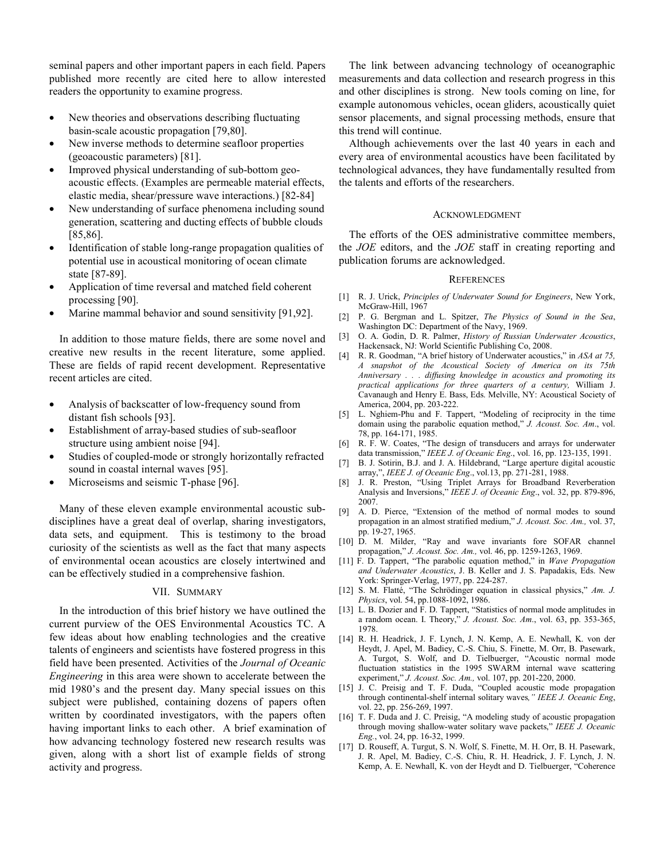seminal papers and other important papers in each field. Papers published more recently are cited here to allow interested readers the opportunity to examine progress.

- New theories and observations describing fluctuating basin-scale acoustic propagation [79,80].
- New inverse methods to determine seafloor properties (geoacoustic parameters) [81].
- Improved physical understanding of sub-bottom geoacoustic effects. (Examples are permeable material effects, elastic media, shear/pressure wave interactions.) [82-84]
- New understanding of surface phenomena including sound generation, scattering and ducting effects of bubble clouds [85,86].
- Identification of stable long-range propagation qualities of potential use in acoustical monitoring of ocean climate state [87-89].
- Application of time reversal and matched field coherent processing [90].
- Marine mammal behavior and sound sensitivity [91,92].

In addition to those mature fields, there are some novel and creative new results in the recent literature, some applied. These are fields of rapid recent development. Representative recent articles are cited.

- Analysis of backscatter of low-frequency sound from distant fish schools [93].
- Establishment of array-based studies of sub-seafloor structure using ambient noise [94].
- Studies of coupled-mode or strongly horizontally refracted sound in coastal internal waves [95].
- Microseisms and seismic T-phase [96].

Many of these eleven example environmental acoustic subdisciplines have a great deal of overlap, sharing investigators, data sets, and equipment. This is testimony to the broad curiosity of the scientists as well as the fact that many aspects of environmental ocean acoustics are closely intertwined and can be effectively studied in a comprehensive fashion.

# VII. SUMMARY

In the introduction of this brief history we have outlined the current purview of the OES Environmental Acoustics TC. A few ideas about how enabling technologies and the creative talents of engineers and scientists have fostered progress in this field have been presented. Activities of the *Journal of Oceanic Engineering* in this area were shown to accelerate between the mid 1980's and the present day. Many special issues on this subject were published, containing dozens of papers often written by coordinated investigators, with the papers often having important links to each other. A brief examination of how advancing technology fostered new research results was given, along with a short list of example fields of strong activity and progress.

The link between advancing technology of oceanographic measurements and data collection and research progress in this and other disciplines is strong. New tools coming on line, for example autonomous vehicles, ocean gliders, acoustically quiet sensor placements, and signal processing methods, ensure that this trend will continue.

Although achievements over the last 40 years in each and every area of environmental acoustics have been facilitated by technological advances, they have fundamentally resulted from the talents and efforts of the researchers.

#### ACKNOWLEDGMENT

The efforts of the OES administrative committee members, the *JOE* editors, and the *JOE* staff in creating reporting and publication forums are acknowledged.

#### **REFERENCES**

- [1] R. J. Urick, *Principles of Underwater Sound for Engineers*, New York, McGraw-Hill, 1967
- [2] P. G. Bergman and L. Spitzer, *The Physics of Sound in the Sea*, Washington DC: Department of the Navy, 1969.
- [3] O. A. Godin, D. R. Palmer, *History of Russian Underwater Acoustics*, Hackensack, NJ: World Scientific Publishing Co, 2008.
- [4] R. R. Goodman, "A brief history of Underwater acoustics," in *ASA at 75, A snapshot of the Acoustical Society of America on its 75th Anniversary . . . diffusing knowledge in acoustics and promoting its practical applications for three quarters of a century,* William J. Cavanaugh and Henry E. Bass, Eds. Melville, NY: Acoustical Society of America, 2004, pp. 203-222.
- [5] L. Nghiem-Phu and F. Tappert, "Modeling of reciprocity in the time domain using the parabolic equation method," *J. Acoust. Soc. Am*., vol. 78, pp. 164-171, 1985.
- [6] R. F. W. Coates, "The design of transducers and arrays for underwater data transmission," *IEEE J. of Oceanic Eng*., vol. 16, pp. 123-135, 1991.
- [7] B. J. Sotirin, B.J. and J. A. Hildebrand, "Large aperture digital acoustic array,", *IEEE J. of Oceanic Eng*., vol.13, pp. 271-281, 1988.
- [8] J. R. Preston, "Using Triplet Arrays for Broadband Reverberation Analysis and Inversions," *IEEE J. of Oceanic Eng*., vol. 32, pp. 879-896, 2007.
- [9] A. D. Pierce, "Extension of the method of normal modes to sound propagation in an almost stratified medium," *J. Acoust. Soc. Am.,* vol. 37, pp. 19-27, 1965.
- [10] D. M. Milder, "Ray and wave invariants fore SOFAR channel propagation," *J. Acoust. Soc. Am.,* vol. 46, pp. 1259-1263, 1969.
- [11] F. D. Tappert, "The parabolic equation method," in *Wave Propagation and Underwater Acoustics*, J. B. Keller and J. S. Papadakis, Eds. New York: Springer-Verlag, 1977, pp. 224-287.
- [12] S. M. Flatté, "The Schrödinger equation in classical physics," *Am. J. Physics*, vol. 54, pp.1088-1092, 1986.
- [13] L. B. Dozier and F. D. Tappert, "Statistics of normal mode amplitudes in a random ocean. I. Theory," *J. Acoust. Soc. Am*., vol. 63, pp. 353-365, 1978.
- [14] R. H. Headrick, J. F. Lynch, J. N. Kemp, A. E. Newhall, K. von der Heydt, J. Apel, M. Badiey, C.-S. Chiu, S. Finette, M. Orr, B. Pasewark, A. Turgot, S. Wolf, and D. Tielbuerger, "Acoustic normal mode fluctuation statistics in the 1995 SWARM internal wave scattering experiment," *J. Acoust. Soc. Am.,* vol. 107, pp. 201-220, 2000.
- [15] J. C. Preisig and T. F. Duda, "Coupled acoustic mode propagation through continental-shelf internal solitary waves*," IEEE J. Oceanic Eng*, vol. 22, pp. 256-269, 1997.
- [16] T. F. Duda and J. C. Preisig, "A modeling study of acoustic propagation through moving shallow-water solitary wave packets," *IEEE J. Oceanic Eng.*, vol. 24, pp. 16-32, 1999.
- [17] D. Rouseff, A. Turgut, S. N. Wolf, S. Finette, M. H. Orr, B. H. Pasewark, J. R. Apel, M. Badiey, C.-S. Chiu, R. H. Headrick, J. F. Lynch, J. N. Kemp, A. E. Newhall, K. von der Heydt and D. Tielbuerger, "Coherence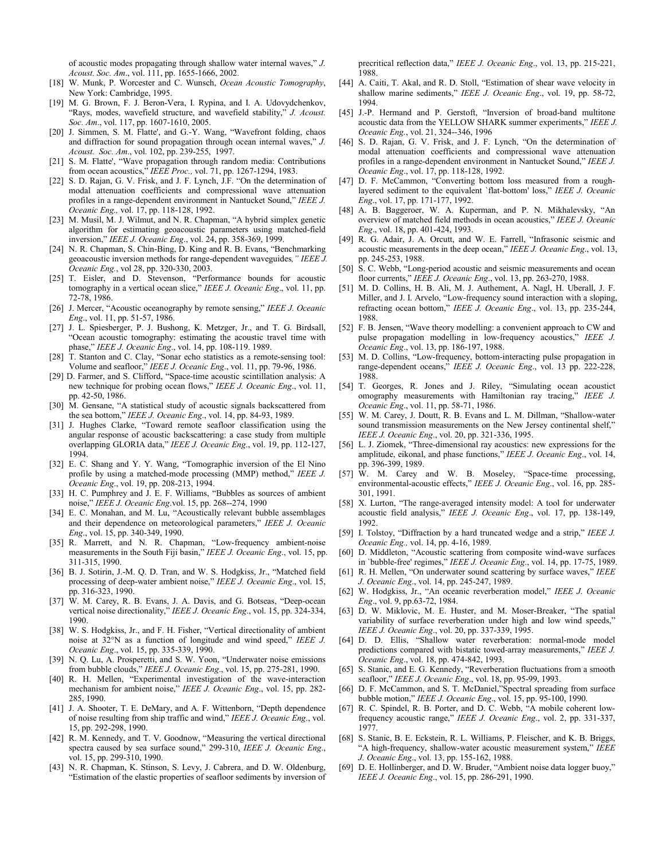of acoustic modes propagating through shallow water internal waves," *J. Acoust. Soc. Am*., vol. 111, pp. 1655-1666, 2002.

- [18] W. Munk, P. Worcester and C. Wunsch, *Ocean Acoustic Tomography*, New York: Cambridge, 1995.
- [19] M. G. Brown, F. J. Beron-Vera, I. Rypina, and I. A. Udovydchenkov, "Rays, modes, wavefield structure, and wavefield stability," *J. Acoust. Soc. Am*., vol. 117, pp. 1607-1610, 2005.
- [20] J. Simmen, S. M. Flatte', and G.-Y. Wang, "Wavefront folding, chaos and diffraction for sound propagation through ocean internal waves," *J. Acoust. Soc. Am*., vol. 102, pp. 239-255, 1997.
- [21] S. M. Flatte', "Wave propagation through random media: Contributions from ocean acoustics," *IEEE Proc.,* vol. 71, pp. 1267-1294, 1983.
- [22] S. D. Rajan, G. V. Frisk, and J. F. Lynch, J.F. "On the determination of modal attenuation coefficients and compressional wave attenuation profiles in a range-dependent environment in Nantucket Sound," *IEEE J. Oceanic Eng.,* vol. 17, pp. 118-128, 1992.
- [23] M. Musil, M. J. Wilmut, and N. R. Chapman, "A hybrid simplex genetic algorithm for estimating geoacoustic parameters using matched-field inversion," *IEEE J. Oceanic Eng*., vol. 24, pp. 358-369, 1999.
- [24] N. R. Chapman, S. Chin-Bing, D. King and R. B. Evans, "Benchmarking geoacoustic inversion methods for range-dependent waveguides*," IEEE J. Oceanic Eng.*, vol 28, pp. 320-330, 2003.
- [25] T. Eisler, and D. Stevenson, "Performance bounds for acoustic tomography in a vertical ocean slice," *IEEE J. Oceanic Eng*., vol. 11, pp. 72-78, 1986.
- [26] J. Mercer, "Acoustic oceanography by remote sensing," *IEEE J. Oceanic Eng*., vol. 11, pp. 51-57, 1986.
- [27] J. L. Spiesberger, P. J. Bushong, K. Metzger, Jr., and T. G. Birdsall, "Ocean acoustic tomography: estimating the acoustic travel time with phase," *IEEE J. Oceanic Eng*., vol. 14, pp. 108-119. 1989.
- [28] T. Stanton and C. Clay, "Sonar echo statistics as a remote-sensing tool: Volume and seafloor," *IEEE J. Oceanic Eng*., vol. 11, pp. 79-96, 1986.
- [29] D. Farmer, and S. Clifford, "Space-time acoustic scintillation analysis: A new technique for probing ocean flows," *IEEE J. Oceanic Eng*., vol. 11, pp. 42-50, 1986.
- [30] M. Gensane, "A statistical study of acoustic signals backscattered from the sea bottom," *IEEE J. Oceanic Eng*., vol. 14, pp. 84-93, 1989.
- [31] J. Hughes Clarke, "Toward remote seafloor classification using the angular response of acoustic backscattering: a case study from multiple overlapping GLORIA data," *IEEE J. Oceanic Eng*., vol. 19, pp. 112-127, 1994.
- [32] E. C. Shang and Y. Y. Wang, "Tomographic inversion of the El Nino profile by using a matched-mode processing (MMP) method," *IEEE J. Oceanic Eng*., vol. 19, pp. 208-213, 1994.
- [33] H. C. Pumphrey and J. E. F. Williams, "Bubbles as sources of ambient noise," *IEEE J. Oceanic Eng*.vol. 15, pp. 268--274, 1990
- [34] E. C. Monahan, and M. Lu, "Acoustically relevant bubble assemblages and their dependence on meteorological parameters," *IEEE J. Oceanic Eng*., vol. 15, pp. 340-349, 1990.
- [35] R. Marrett, and N. R. Chapman, "Low-frequency ambient-noise measurements in the South Fiji basin," *IEEE J. Oceanic Eng*., vol. 15, pp. 311-315, 1990.
- [36] B. J. Sotirin, J.-M. Q. D. Tran, and W. S. Hodgkiss, Jr., "Matched field processing of deep-water ambient noise," *IEEE J. Oceanic Eng*., vol. 15, pp. 316-323, 1990.
- [37] W. M. Carey, R. B. Evans, J. A. Davis, and G. Botseas, "Deep-ocean vertical noise directionality," *IEEE J. Oceanic Eng*., vol. 15, pp. 324-334, 1990.
- [38] W. S. Hodgkiss, Jr., and F. H. Fisher, "Vertical directionality of ambient noise at 32°N as a function of longitude and wind speed," *IEEE J. Oceanic Eng*., vol. 15, pp. 335-339, 1990.
- [39] N. Q. Lu, A. Prosperetti, and S. W. Yoon, "Underwater noise emissions from bubble clouds," *IEEE J. Oceanic Eng*., vol. 15, pp. 275-281, 1990.
- [40] R. H. Mellen, "Experimental investigation of the wave-interaction mechanism for ambient noise," *IEEE J. Oceanic Eng*., vol. 15, pp. 282- 285, 1990.
- [41] J. A. Shooter, T. E. DeMary, and A. F. Wittenborn, "Depth dependence of noise resulting from ship traffic and wind," *IEEE J. Oceanic Eng*., vol. 15, pp. 292-298, 1990.
- [42] R. M. Kennedy, and T. V. Goodnow, "Measuring the vertical directional spectra caused by sea surface sound," 299-310, *IEEE J. Oceanic Eng*., vol. 15, pp. 299-310, 1990.
- [43] N. R. Chapman, K. Stinson, S. Levy, J. Cabrera, and D. W. Oldenburg, "Estimation of the elastic properties of seafloor sediments by inversion of

precritical reflection data," *IEEE J. Oceanic Eng*., vol. 13, pp. 215-221, 1988.

- [44] A. Caiti, T. Akal, and R. D. Stoll, "Estimation of shear wave velocity in shallow marine sediments," *IEEE J. Oceanic Eng*., vol. 19, pp. 58-72, 1994.
- [45] J.-P. Hermand and P. Gerstoft, "Inversion of broad-band multitone acoustic data from the YELLOW SHARK summer experiments," *IEEE J. Oceanic Eng.*, vol. 21, 324--346, 1996
- [46] S. D. Rajan, G. V. Frisk, and J. F. Lynch, "On the determination of modal attenuation coefficients and compressional wave attenuation profiles in a range-dependent environment in Nantucket Sound," *IEEE J. Oceanic Eng*., vol. 17, pp. 118-128, 1992.
- [47] D. F. McCammon, "Converting bottom loss measured from a roughlayered sediment to the equivalent `flat-bottom' loss," *IEEE J. Oceanic Eng*., vol. 17, pp. 171-177, 1992.
- [48] A. B. Baggeroer, W. A. Kuperman, and P. N. Mikhalevsky, "An overview of matched field methods in ocean acoustics," *IEEE J. Oceanic Eng*., vol. 18, pp. 401-424, 1993.
- [49] R. G. Adair, J. A. Orcutt, and W. E. Farrell, "Infrasonic seismic and acoustic measurements in the deep ocean," *IEEE J. Oceanic Eng*., vol. 13, pp. 245-253, 1988.
- [50] S. C. Webb, "Long-period acoustic and seismic measurements and ocean floor currents," *IEEE J. Oceanic Eng*., vol. 13, pp. 263-270, 1988.
- [51] M. D. Collins, H. B. Ali, M. J. Authement, A. Nagl, H. Uberall, J. F. Miller, and J. I. Arvelo, "Low-frequency sound interaction with a sloping, refracting ocean bottom," *IEEE J. Oceanic Eng*., vol. 13, pp. 235-244, 1988.
- [52] F. B. Jensen, "Wave theory modelling: a convenient approach to CW and pulse propagation modelling in low-frequency acoustics," *IEEE J. Oceanic Eng*., vol. 13, pp. 186-197, 1988.
- [53] M. D. Collins, "Low-frequency, bottom-interacting pulse propagation in range-dependent oceans," *IEEE J. Oceanic Eng*., vol. 13 pp. 222-228, 1988.
- [54] T. Georges, R. Jones and J. Riley, "Simulating ocean acoustict omography measurements with Hamiltonian ray tracing," *IEEE J. Oceanic Eng*., vol. 11, pp. 58-71, 1986.
- [55] W. M. Carey, J. Doutt, R. B. Evans and L. M. Dillman, "Shallow-water sound transmission measurements on the New Jersey continental shelf," *IEEE J. Oceanic Eng*., vol. 20, pp. 321-336, 1995.
- [56] L. J. Ziomek, "Three-dimensional ray acoustics: new expressions for the amplitude, eikonal, and phase functions," *IEEE J. Oceanic Eng*., vol. 14, pp. 396-399, 1989.
- [57] W. M. Carey and W. B. Moseley, "Space-time processing, environmental-acoustic effects," *IEEE J. Oceanic Eng*., vol. 16, pp. 285- 301, 1991.
- [58] X. Lurton, "The range-averaged intensity model: A tool for underwater acoustic field analysis," *IEEE J. Oceanic Eng*., vol. 17, pp. 138-149, 1992.
- [59] I. Tolstoy, "Diffraction by a hard truncated wedge and a strip," *IEEE J. Oceanic Eng.,* vol. 14, pp. 4-16, 1989.
- [60] D. Middleton, "Acoustic scattering from composite wind-wave surfaces in `bubble-free' regimes," *IEEE J. Oceanic Eng*., vol. 14, pp. 17-75, 1989.
- [61] R. H. Mellen, "On underwater sound scattering by surface waves," *IEEE J. Oceanic Eng*., vol. 14, pp. 245-247, 1989.
- [62] W. Hodgkiss, Jr., "An oceanic reverberation model," *IEEE J. Oceanic Eng*., vol. 9, pp.63-72, 1984.
- [63] D. W. Miklovic, M. E. Huster, and M. Moser-Breaker, "The spatial variability of surface reverberation under high and low wind speeds," *IEEE J. Oceanic Eng*., vol. 20, pp. 337-339, 1995.
- [64] D. D. Ellis, "Shallow water reverberation: normal-mode model predictions compared with bistatic towed-array measurements," *IEEE J. Oceanic Eng*., vol. 18, pp. 474-842, 1993.
- [65] S. Stanic, and E. G. Kennedy, "Reverberation fluctuations from a smooth seafloor," *IEEE J. Oceanic Eng*., vol. 18, pp. 95-99, 1993.
- [66] D. F. McCammon, and S. T. McDaniel,"Spectral spreading from surface bubble motion," *IEEE J. Oceanic Eng*., vol. 15, pp. 95-100, 1990.
- [67] R. C. Spindel, R. B. Porter, and D. C. Webb, "A mobile coherent lowfrequency acoustic range," *IEEE J. Oceanic Eng*., vol. 2, pp. 331-337, 1977.
- [68] S. Stanic, B. E. Eckstein, R. L. Williams, P. Fleischer, and K. B. Briggs, "A high-frequency, shallow-water acoustic measurement system," *IEEE J. Oceanic Eng*., vol. 13, pp. 155-162, 1988.
- [69] D. E. Hollinberger, and D. W. Bruder, "Ambient noise data logger buoy," *IEEE J. Oceanic Eng*., vol. 15, pp. 286-291, 1990.